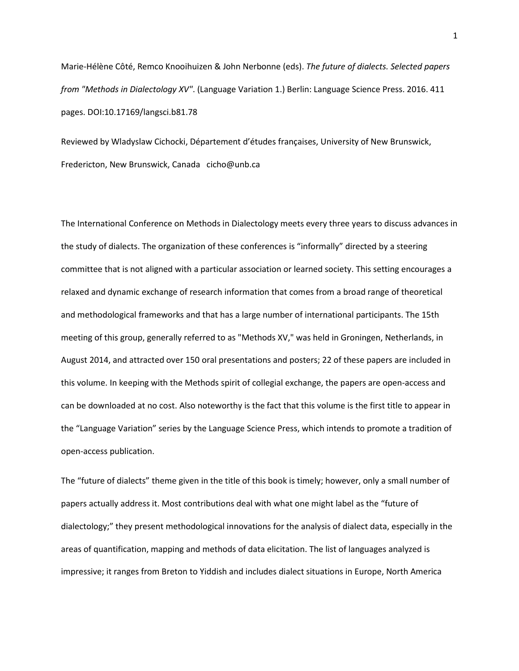Marie-Hélène Côté, Remco Knooihuizen & John Nerbonne (eds). *The future of dialects. Selected papers from "Methods in Dialectology XV"*. (Language Variation 1.) Berlin: Language Science Press. 2016. 411 pages. DOI:10.17169/langsci.b81.78

Reviewed by Wladyslaw Cichocki, Département d'études françaises, University of New Brunswick, Fredericton, New Brunswick, Canada cicho@unb.ca

The International Conference on Methods in Dialectology meets every three years to discuss advances in the study of dialects. The organization of these conferences is "informally" directed by a steering committee that is not aligned with a particular association or learned society. This setting encourages a relaxed and dynamic exchange of research information that comes from a broad range of theoretical and methodological frameworks and that has a large number of international participants. The 15th meeting of this group, generally referred to as "Methods XV," was held in Groningen, Netherlands, in August 2014, and attracted over 150 oral presentations and posters; 22 of these papers are included in this volume. In keeping with the Methods spirit of collegial exchange, the papers are open-access and can be downloaded at no cost. Also noteworthy is the fact that this volume is the first title to appear in the "Language Variation" series by the Language Science Press, which intends to promote a tradition of open-access publication.

The "future of dialects" theme given in the title of this book is timely; however, only a small number of papers actually address it. Most contributions deal with what one might label as the "future of dialectology;" they present methodological innovations for the analysis of dialect data, especially in the areas of quantification, mapping and methods of data elicitation. The list of languages analyzed is impressive; it ranges from Breton to Yiddish and includes dialect situations in Europe, North America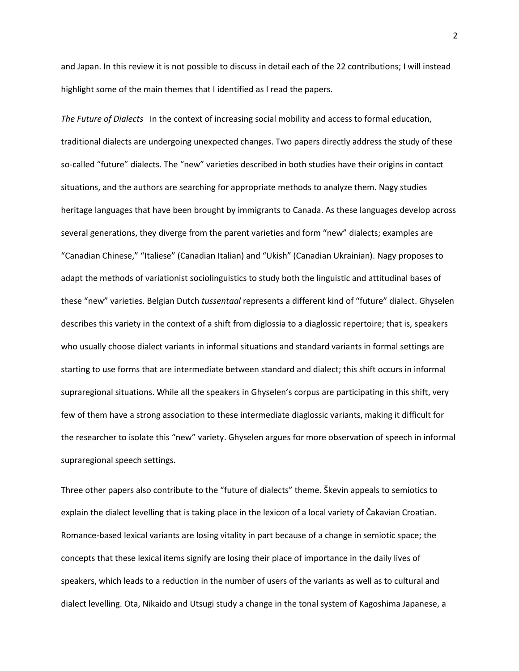and Japan. In this review it is not possible to discuss in detail each of the 22 contributions; I will instead highlight some of the main themes that I identified as I read the papers.

*The Future of Dialects* In the context of increasing social mobility and access to formal education, traditional dialects are undergoing unexpected changes. Two papers directly address the study of these so-called "future" dialects. The "new" varieties described in both studies have their origins in contact situations, and the authors are searching for appropriate methods to analyze them. Nagy studies heritage languages that have been brought by immigrants to Canada. As these languages develop across several generations, they diverge from the parent varieties and form "new" dialects; examples are "Canadian Chinese," "Italiese" (Canadian Italian) and "Ukish" (Canadian Ukrainian). Nagy proposes to adapt the methods of variationist sociolinguistics to study both the linguistic and attitudinal bases of these "new" varieties. Belgian Dutch *tussentaal* represents a different kind of "future" dialect. Ghyselen describes this variety in the context of a shift from diglossia to a diaglossic repertoire; that is, speakers who usually choose dialect variants in informal situations and standard variants in formal settings are starting to use forms that are intermediate between standard and dialect; this shift occurs in informal supraregional situations. While all the speakers in Ghyselen's corpus are participating in this shift, very few of them have a strong association to these intermediate diaglossic variants, making it difficult for the researcher to isolate this "new" variety. Ghyselen argues for more observation of speech in informal supraregional speech settings.

Three other papers also contribute to the "future of dialects" theme. Škevin appeals to semiotics to explain the dialect levelling that is taking place in the lexicon of a local variety of Čakavian Croatian. Romance-based lexical variants are losing vitality in part because of a change in semiotic space; the concepts that these lexical items signify are losing their place of importance in the daily lives of speakers, which leads to a reduction in the number of users of the variants as well as to cultural and dialect levelling. Ota, Nikaido and Utsugi study a change in the tonal system of Kagoshima Japanese, a

2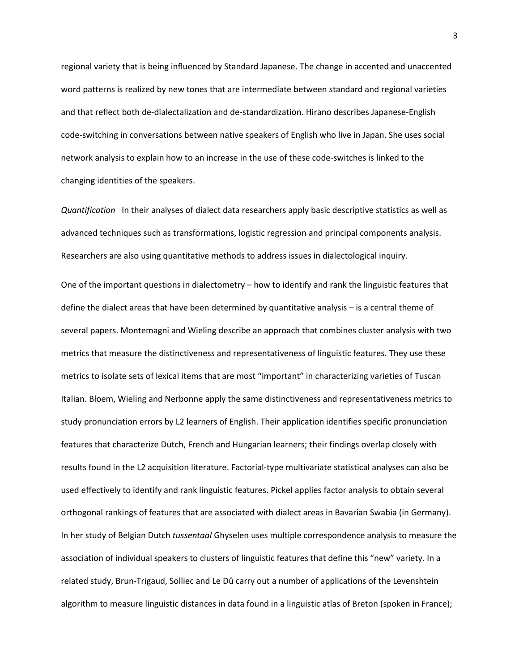regional variety that is being influenced by Standard Japanese. The change in accented and unaccented word patterns is realized by new tones that are intermediate between standard and regional varieties and that reflect both de-dialectalization and de-standardization. Hirano describes Japanese-English code-switching in conversations between native speakers of English who live in Japan. She uses social network analysis to explain how to an increase in the use of these code-switches is linked to the changing identities of the speakers.

*Quantification* In their analyses of dialect data researchers apply basic descriptive statistics as well as advanced techniques such as transformations, logistic regression and principal components analysis. Researchers are also using quantitative methods to address issues in dialectological inquiry.

One of the important questions in dialectometry – how to identify and rank the linguistic features that define the dialect areas that have been determined by quantitative analysis – is a central theme of several papers. Montemagni and Wieling describe an approach that combines cluster analysis with two metrics that measure the distinctiveness and representativeness of linguistic features. They use these metrics to isolate sets of lexical items that are most "important" in characterizing varieties of Tuscan Italian. Bloem, Wieling and Nerbonne apply the same distinctiveness and representativeness metrics to study pronunciation errors by L2 learners of English. Their application identifies specific pronunciation features that characterize Dutch, French and Hungarian learners; their findings overlap closely with results found in the L2 acquisition literature. Factorial-type multivariate statistical analyses can also be used effectively to identify and rank linguistic features. Pickel applies factor analysis to obtain several orthogonal rankings of features that are associated with dialect areas in Bavarian Swabia (in Germany). In her study of Belgian Dutch *tussentaal* Ghyselen uses multiple correspondence analysis to measure the association of individual speakers to clusters of linguistic features that define this "new" variety. In a related study, Brun-Trigaud, Solliec and Le Dû carry out a number of applications of the Levenshtein algorithm to measure linguistic distances in data found in a linguistic atlas of Breton (spoken in France);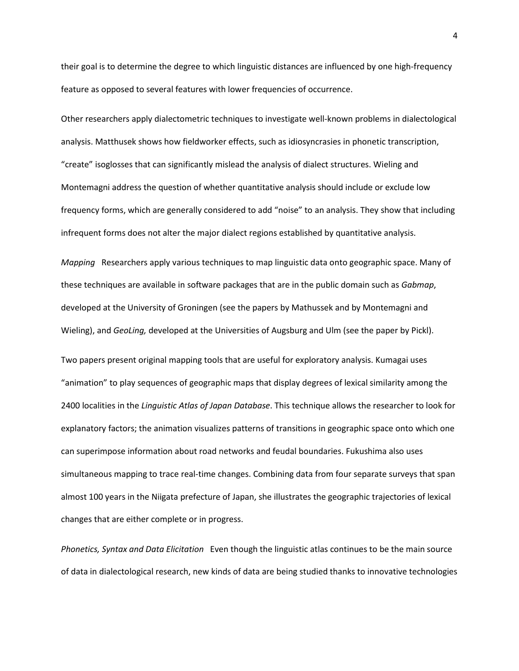their goal is to determine the degree to which linguistic distances are influenced by one high-frequency feature as opposed to several features with lower frequencies of occurrence.

Other researchers apply dialectometric techniques to investigate well-known problems in dialectological analysis. Matthusek shows how fieldworker effects, such as idiosyncrasies in phonetic transcription, "create" isoglosses that can significantly mislead the analysis of dialect structures. Wieling and Montemagni address the question of whether quantitative analysis should include or exclude low frequency forms, which are generally considered to add "noise" to an analysis. They show that including infrequent forms does not alter the major dialect regions established by quantitative analysis.

*Mapping* Researchers apply various techniques to map linguistic data onto geographic space. Many of these techniques are available in software packages that are in the public domain such as *Gabmap*, developed at the University of Groningen (see the papers by Mathussek and by Montemagni and Wieling), and *GeoLing,* developed at the Universities of Augsburg and Ulm (see the paper by Pickl).

Two papers present original mapping tools that are useful for exploratory analysis. Kumagai uses "animation" to play sequences of geographic maps that display degrees of lexical similarity among the 2400 localities in the *Linguistic Atlas of Japan Database*. This technique allows the researcher to look for explanatory factors; the animation visualizes patterns of transitions in geographic space onto which one can superimpose information about road networks and feudal boundaries. Fukushima also uses simultaneous mapping to trace real-time changes. Combining data from four separate surveys that span almost 100 years in the Niigata prefecture of Japan, she illustrates the geographic trajectories of lexical changes that are either complete or in progress.

*Phonetics, Syntax and Data Elicitation* Even though the linguistic atlas continues to be the main source of data in dialectological research, new kinds of data are being studied thanks to innovative technologies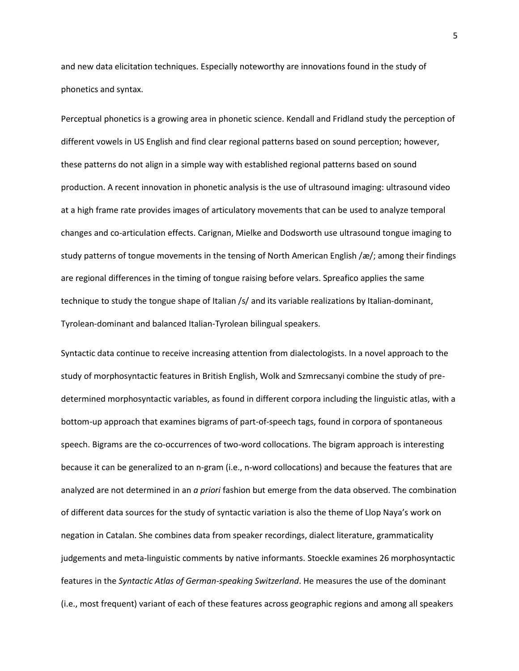and new data elicitation techniques. Especially noteworthy are innovations found in the study of phonetics and syntax.

Perceptual phonetics is a growing area in phonetic science. Kendall and Fridland study the perception of different vowels in US English and find clear regional patterns based on sound perception; however, these patterns do not align in a simple way with established regional patterns based on sound production. A recent innovation in phonetic analysis is the use of ultrasound imaging: ultrasound video at a high frame rate provides images of articulatory movements that can be used to analyze temporal changes and co-articulation effects. Carignan, Mielke and Dodsworth use ultrasound tongue imaging to study patterns of tongue movements in the tensing of North American English /æ/; among their findings are regional differences in the timing of tongue raising before velars. Spreafico applies the same technique to study the tongue shape of Italian /s/ and its variable realizations by Italian-dominant, Tyrolean-dominant and balanced Italian-Tyrolean bilingual speakers.

Syntactic data continue to receive increasing attention from dialectologists. In a novel approach to the study of morphosyntactic features in British English, Wolk and Szmrecsanyi combine the study of predetermined morphosyntactic variables, as found in different corpora including the linguistic atlas, with a bottom-up approach that examines bigrams of part-of-speech tags, found in corpora of spontaneous speech. Bigrams are the co-occurrences of two-word collocations. The bigram approach is interesting because it can be generalized to an n-gram (i.e., n-word collocations) and because the features that are analyzed are not determined in an *a priori* fashion but emerge from the data observed. The combination of different data sources for the study of syntactic variation is also the theme of Llop Naya's work on negation in Catalan. She combines data from speaker recordings, dialect literature, grammaticality judgements and meta-linguistic comments by native informants. Stoeckle examines 26 morphosyntactic features in the *Syntactic Atlas of German-speaking Switzerland*. He measures the use of the dominant (i.e., most frequent) variant of each of these features across geographic regions and among all speakers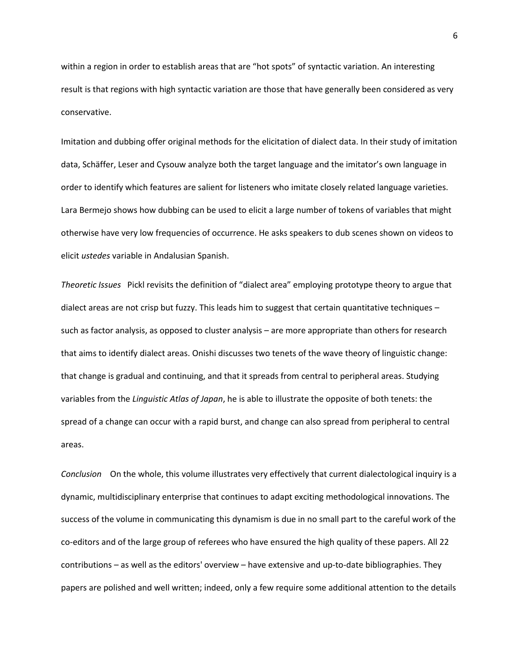within a region in order to establish areas that are "hot spots" of syntactic variation. An interesting result is that regions with high syntactic variation are those that have generally been considered as very conservative.

Imitation and dubbing offer original methods for the elicitation of dialect data. In their study of imitation data, Schäffer, Leser and Cysouw analyze both the target language and the imitator's own language in order to identify which features are salient for listeners who imitate closely related language varieties. Lara Bermejo shows how dubbing can be used to elicit a large number of tokens of variables that might otherwise have very low frequencies of occurrence. He asks speakers to dub scenes shown on videos to elicit *ustedes* variable in Andalusian Spanish.

*Theoretic Issues* Pickl revisits the definition of "dialect area" employing prototype theory to argue that dialect areas are not crisp but fuzzy. This leads him to suggest that certain quantitative techniques – such as factor analysis, as opposed to cluster analysis – are more appropriate than others for research that aims to identify dialect areas. Onishi discusses two tenets of the wave theory of linguistic change: that change is gradual and continuing, and that it spreads from central to peripheral areas. Studying variables from the *Linguistic Atlas of Japan*, he is able to illustrate the opposite of both tenets: the spread of a change can occur with a rapid burst, and change can also spread from peripheral to central areas.

*Conclusion* On the whole, this volume illustrates very effectively that current dialectological inquiry is a dynamic, multidisciplinary enterprise that continues to adapt exciting methodological innovations. The success of the volume in communicating this dynamism is due in no small part to the careful work of the co-editors and of the large group of referees who have ensured the high quality of these papers. All 22 contributions – as well as the editors' overview – have extensive and up-to-date bibliographies. They papers are polished and well written; indeed, only a few require some additional attention to the details